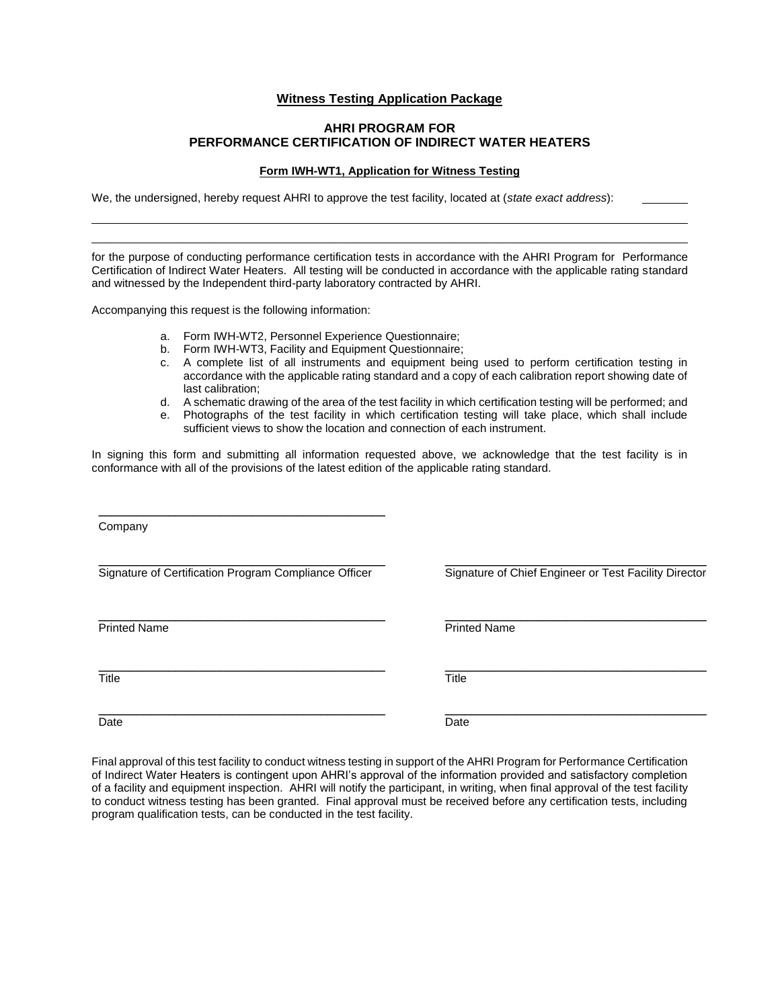#### **Witness Testing Application Package**

#### **AHRI PROGRAM FOR PERFORMANCE CERTIFICATION OF INDIRECT WATER HEATERS**

#### **Form IWH-WT1, Application for Witness Testing**

We, the undersigned, hereby request AHRI to approve the test facility, located at (*state exact address*):

for the purpose of conducting performance certification tests in accordance with the AHRI Program for Performance Certification of Indirect Water Heaters. All testing will be conducted in accordance with the applicable rating standard and witnessed by the Independent third-party laboratory contracted by AHRI.

Accompanying this request is the following information:

- a. Form IWH-WT2, Personnel Experience Questionnaire;
- b. Form IWH-WT3, Facility and Equipment Questionnaire;
- c. A complete list of all instruments and equipment being used to perform certification testing in accordance with the applicable rating standard and a copy of each calibration report showing date of last calibration;

l

- d. A schematic drawing of the area of the test facility in which certification testing will be performed; and
- e. Photographs of the test facility in which certification testing will take place, which shall include sufficient views to show the location and connection of each instrument.

In signing this form and submitting all information requested above, we acknowledge that the test facility is in conformance with all of the provisions of the latest edition of the applicable rating standard.

\_\_\_\_\_\_\_\_\_\_\_\_\_\_\_\_\_\_\_\_\_\_\_\_\_\_\_\_\_\_\_\_\_\_\_\_\_\_\_\_\_\_\_\_\_ Company  $\_$  ,  $\_$  ,  $\_$  ,  $\_$  ,  $\_$  ,  $\_$  ,  $\_$  ,  $\_$  ,  $\_$  ,  $\_$  ,  $\_$  ,  $\_$  ,  $\_$  ,  $\_$  ,  $\_$  ,  $\_$  ,  $\_$  ,  $\_$  ,  $\_$  ,  $\_$ Signature of Certification Program Compliance Officer Signature of Chief Engineer or Test Facility Director \_\_\_\_\_\_\_\_\_\_\_\_\_\_\_\_\_\_\_\_\_\_\_\_\_\_\_\_\_\_\_\_\_\_\_\_\_\_\_\_\_\_\_\_\_ \_\_\_\_\_\_\_\_\_\_\_\_\_\_\_\_\_\_\_\_\_\_\_\_\_\_\_\_\_\_\_\_\_\_\_\_\_\_\_\_\_ Printed Name **Printed Name** Printed Name **Printed Name**  $\_$  ,  $\_$  ,  $\_$  ,  $\_$  ,  $\_$  ,  $\_$  ,  $\_$  ,  $\_$  ,  $\_$  ,  $\_$  ,  $\_$  ,  $\_$  ,  $\_$  ,  $\_$  ,  $\_$  ,  $\_$  ,  $\_$  ,  $\_$  ,  $\_$  ,  $\_$ Title Title  $\_$  ,  $\_$  ,  $\_$  ,  $\_$  ,  $\_$  ,  $\_$  ,  $\_$  ,  $\_$  ,  $\_$  ,  $\_$  ,  $\_$  ,  $\_$  ,  $\_$  ,  $\_$  ,  $\_$  ,  $\_$  ,  $\_$  ,  $\_$  ,  $\_$  ,  $\_$ Date **Date** Date **Date** Date **Date** Date **Date** 

Final approval of this test facility to conduct witness testing in support of the AHRI Program for Performance Certification of Indirect Water Heaters is contingent upon AHRI's approval of the information provided and satisfactory completion of a facility and equipment inspection. AHRI will notify the participant, in writing, when final approval of the test facility to conduct witness testing has been granted. Final approval must be received before any certification tests, including program qualification tests, can be conducted in the test facility.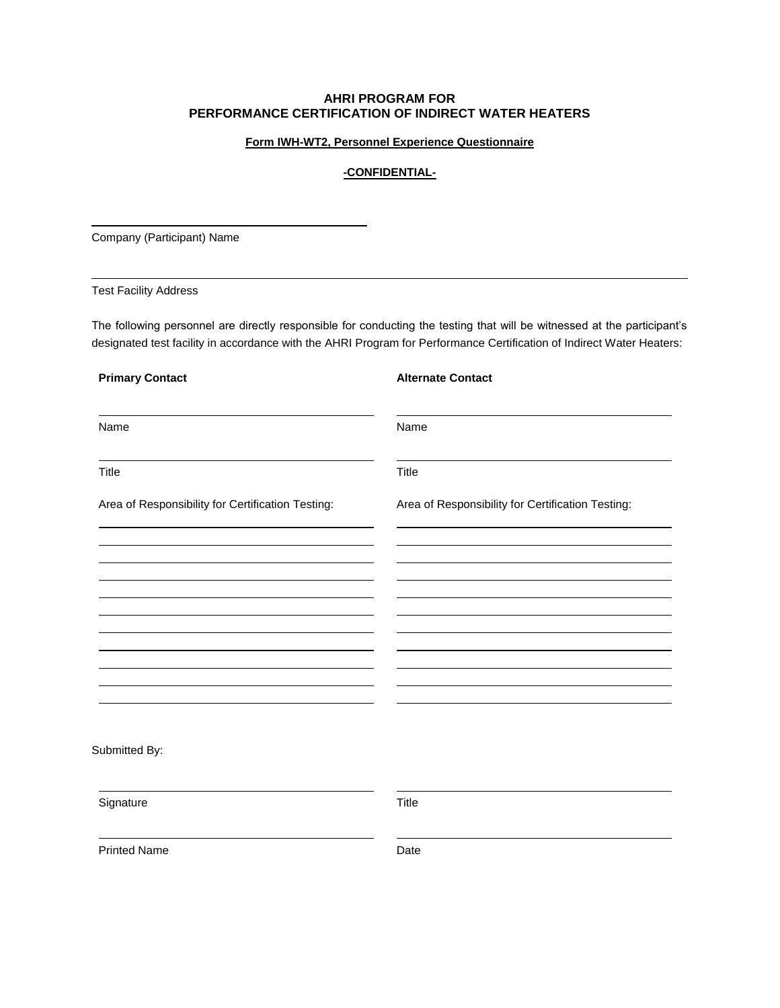## **AHRI PROGRAM FOR PERFORMANCE CERTIFICATION OF INDIRECT WATER HEATERS**

# **Form IWH-WT2, Personnel Experience Questionnaire**

## **-CONFIDENTIAL-**

Company (Participant) Name

## Test Facility Address

The following personnel are directly responsible for conducting the testing that will be witnessed at the participant's designated test facility in accordance with the AHRI Program for Performance Certification of Indirect Water Heaters:

| <b>Alternate Contact</b>                          |
|---------------------------------------------------|
| Name                                              |
| Title                                             |
| Area of Responsibility for Certification Testing: |
|                                                   |
|                                                   |
|                                                   |
|                                                   |
|                                                   |
|                                                   |
| Title                                             |
| Date                                              |
|                                                   |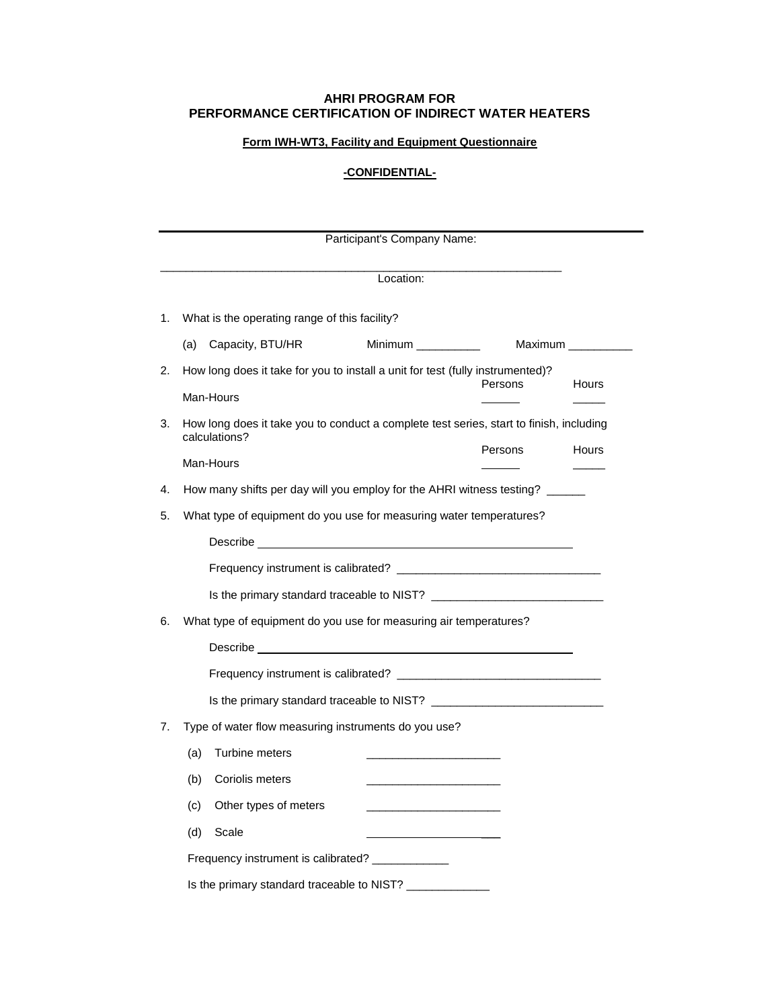# **AHRI PROGRAM FOR PERFORMANCE CERTIFICATION OF INDIRECT WATER HEATERS**

# **Form IWH-WT3, Facility and Equipment Questionnaire**

# **-CONFIDENTIAL-**

|    |                                                                                         |                                                     | Participant's Company Name:                                                                                                                                                                                                    |         |         |
|----|-----------------------------------------------------------------------------------------|-----------------------------------------------------|--------------------------------------------------------------------------------------------------------------------------------------------------------------------------------------------------------------------------------|---------|---------|
|    |                                                                                         |                                                     | Location:                                                                                                                                                                                                                      |         |         |
| 1. |                                                                                         | What is the operating range of this facility?       |                                                                                                                                                                                                                                |         |         |
|    |                                                                                         | (a) Capacity, BTU/HR                                | Minimum $\frac{1}{2}$                                                                                                                                                                                                          |         | Maximum |
| 2. |                                                                                         | Man-Hours                                           | How long does it take for you to install a unit for test (fully instrumented)?                                                                                                                                                 | Persons | Hours   |
| 3. | How long does it take you to conduct a complete test series, start to finish, including |                                                     |                                                                                                                                                                                                                                |         |         |
|    |                                                                                         | calculations?                                       |                                                                                                                                                                                                                                | Persons | Hours   |
|    |                                                                                         | Man-Hours                                           |                                                                                                                                                                                                                                |         |         |
| 4. |                                                                                         |                                                     | How many shifts per day will you employ for the AHRI witness testing? _____                                                                                                                                                    |         |         |
| 5. | What type of equipment do you use for measuring water temperatures?                     |                                                     |                                                                                                                                                                                                                                |         |         |
|    |                                                                                         |                                                     |                                                                                                                                                                                                                                |         |         |
|    |                                                                                         |                                                     |                                                                                                                                                                                                                                |         |         |
|    |                                                                                         |                                                     |                                                                                                                                                                                                                                |         |         |
| 6. | What type of equipment do you use for measuring air temperatures?                       |                                                     |                                                                                                                                                                                                                                |         |         |
|    |                                                                                         |                                                     |                                                                                                                                                                                                                                |         |         |
|    |                                                                                         |                                                     | Frequency instrument is calibrated? The contract of the contract of the contract of the contract of the contract of the contract of the contract of the contract of the contract of the contract of the contract of the contra |         |         |
|    |                                                                                         |                                                     |                                                                                                                                                                                                                                |         |         |
| 7. |                                                                                         |                                                     | Type of water flow measuring instruments do you use?                                                                                                                                                                           |         |         |
|    | (a)                                                                                     | Turbine meters                                      |                                                                                                                                                                                                                                |         |         |
|    | (b)                                                                                     | Coriolis meters                                     |                                                                                                                                                                                                                                |         |         |
|    | (c)                                                                                     | Other types of meters                               |                                                                                                                                                                                                                                |         |         |
|    | (d)                                                                                     | Scale                                               |                                                                                                                                                                                                                                |         |         |
|    |                                                                                         | Frequency instrument is calibrated? _______________ |                                                                                                                                                                                                                                |         |         |
|    |                                                                                         | Is the primary standard traceable to NIST?          |                                                                                                                                                                                                                                |         |         |